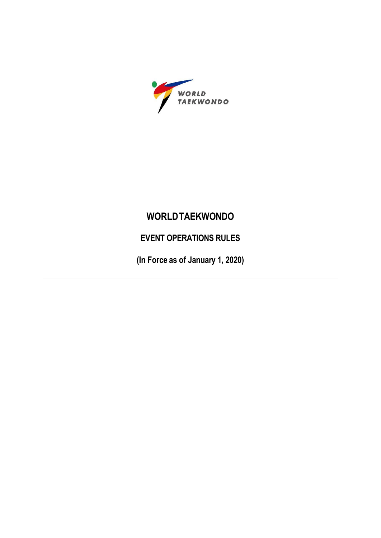

# **WORLDTAEKWONDO**

**EVENT OPERATIONS RULES**

**(In Force as of January 1, 2020)**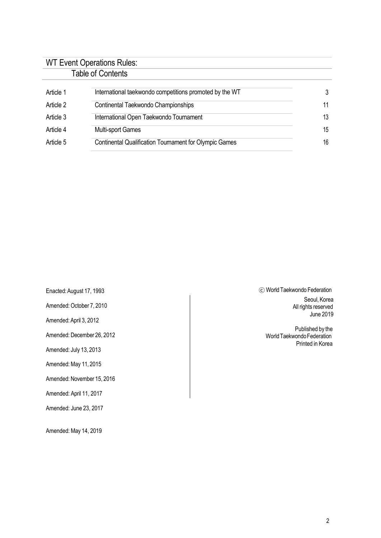## WT Event Operations Rules: Table of Contents

| Article 1 | International taekwondo competitions promoted by the WT       | 3  |
|-----------|---------------------------------------------------------------|----|
| Article 2 | Continental Taekwondo Championships                           | 11 |
| Article 3 | International Open Taekwondo Tournament                       | 13 |
| Article 4 | <b>Multi-sport Games</b>                                      | 15 |
| Article 5 | <b>Continental Qualification Tournament for Olympic Games</b> | 16 |

Enacted:August 17, 1993 Amended: October 7, 2010 Amended:April 3, 2012 Amended: December 26, 2012 Amended: July 13, 2013 Amended: May 11, 2015 Amended: November 15, 2016 Amended: April 11, 2017

Amended: June 23, 2017

Amended: May 14, 2019

ⓒ WorldTaekwondo Federation Seoul, Korea All rights reserved June 2019

Published by the World Taekwondo Federation Printed in Korea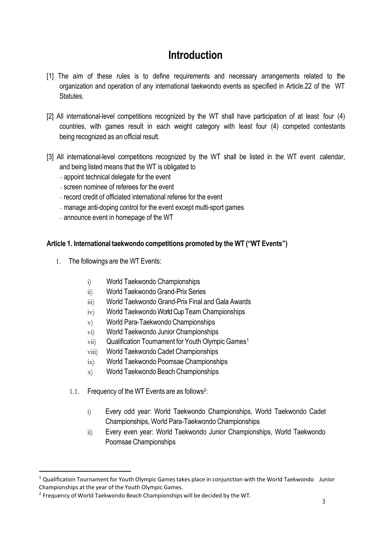# **Introduction**

- [1] The aim of these rules is to define requirements and necessary arrangements related to the organization and operation of any international taekwondo events as specified in Article.22 of the WT Statutes.
- [2] All international-level competitions recognized by the WT shall have participation of at least four (4) countries, with games result in each weight category with least four (4) competed contestants being recognized as an official result.
- [3] All international-level competitions recognized by the WT shall be listed in the WT event calendar, and being listed means that the WT is obligated to
	- appoint technical delegate for the event
	- screen nominee of referees for the event
	- record credit of officiated international referee for the event
	- manage anti-doping control for the event except multi-sport games
	- announce event in homepage of the WT

### **Article 1. International taekwondo competitions promoted by the WT ("WT Events")**

- 1. The followings are the WT Events:
	- i) World Taekwondo Championships
	- ii) World Taekwondo Grand-Prix Series
	- iii) World Taekwondo Grand-Prix Final and Gala Awards
	- iv) World Taekwondo World Cup Team Championships
	- v) World Para-Taekwondo Championships
	- vi) World Taekwondo Junior Championships
	- vii) Qualification Tournament for Youth Olympic Games<sup>1</sup>
	- viii) World Taekwondo Cadet Championships
	- ix) World Taekwondo Poomsae Championships
	- x) World Taekwondo Beach Championships
	- 1.1. Frequency of the WT Events are as follows<sup>2</sup>:
		- i) Every odd year: World Taekwondo Championships, World Taekwondo Cadet Championships, World Para-Taekwondo Championships
		- ii) Every even year: World Taekwondo Junior Championships, World Taekwondo Poomsae Championships

 $\overline{a}$ 

 $1$  Qualification Tournament for Youth Olympic Games takes place in conjunction with the World Taekwondo Junior Championships at the year of the Youth Olympic Games.

<sup>&</sup>lt;sup>2</sup> Frequency of World Taekwondo Beach Championships will be decided by the WT.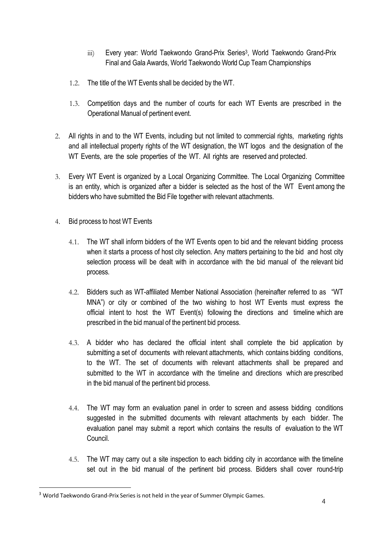- iii) Every year: World Taekwondo Grand-Prix Series<sup>3</sup>, World Taekwondo Grand-Prix Final and Gala Awards, World Taekwondo World Cup Team Championships
- 1.2. The title of the WT Events shall be decided by the WT.
- 1.3. Competition days and the number of courts for each WT Events are prescribed in the Operational Manual of pertinent event.
- 2. All rights in and to the WT Events, including but not limited to commercial rights, marketing rights and all intellectual property rights of the WT designation, the WT logos and the designation of the WT Events, are the sole properties of the WT. All rights are reserved and protected.
- 3. Every WT Event is organized by a Local Organizing Committee. The Local Organizing Committee is an entity, which is organized after a bidder is selected as the host of the WT Event among the bidders who have submitted the Bid File together with relevant attachments.
- 4. Bid process to host WT Events
	- 4.1. The WT shall inform bidders of the WT Events open to bid and the relevant bidding process when it starts a process of host city selection. Any matters pertaining to the bid and host city selection process will be dealt with in accordance with the bid manual of the relevant bid process.
	- 4.2. Bidders such as WT-affiliated Member National Association (hereinafter referred to as "WT MNA") or city or combined of the two wishing to host WT Events must express the official intent to host the WT Event(s) following the directions and timeline which are prescribed in the bid manual of the pertinent bid process.
	- 4.3. A bidder who has declared the official intent shall complete the bid application by submitting a set of documents with relevant attachments, which contains bidding conditions, to the WT. The set of documents with relevant attachments shall be prepared and submitted to the WT in accordance with the timeline and directions which are prescribed in the bid manual of the pertinent bid process.
	- 4.4. The WT may form an evaluation panel in order to screen and assess bidding conditions suggested in the submitted documents with relevant attachments by each bidder. The evaluation panel may submit a report which contains the results of evaluation to the WT Council.
	- 4.5. The WT may carry out a site inspection to each bidding city in accordance with the timeline set out in the bid manual of the pertinent bid process. Bidders shall cover round-trip

 $\overline{a}$ 

<sup>&</sup>lt;sup>3</sup> World Taekwondo Grand-Prix Series is not held in the year of Summer Olympic Games.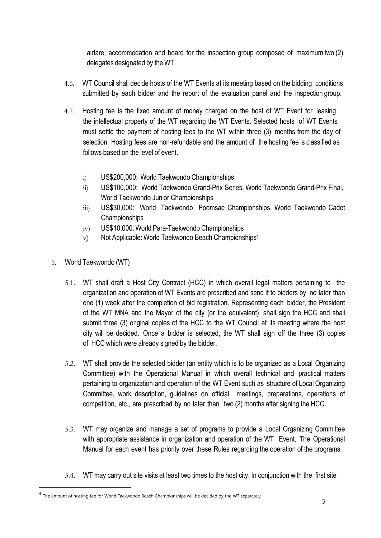airfare, accommodation and board for the inspection group composed of maximumtwo (2) delegates designated by the WT.

- 4.6. WT Council shall decide hosts of the WT Events at its meeting based on the bidding conditions submitted by each bidder and the report of the evaluation panel and the inspection group.
- 4.7. Hosting fee is the fixed amount of money charged on the host of WT Event for leasing the intellectual property of the WT regarding the WT Events. Selected hosts of WT Events must settle the payment of hosting fees to the WT within three (3) months from the day of selection. Hosting fees are non-refundable and the amount of the hosting fee is classified as follows based on the level of event.
	- i) US\$200,000: World Taekwondo Championships
	- ii) US\$100,000: World Taekwondo Grand-Prix Series, World Taekwondo Grand-Prix Final, World Taekwondo Junior Championships
	- iii) US\$30,000: World Taekwondo Poomsae Championships, World Taekwondo Cadet **Championships**
	- iv) US\$10,000: World Para-Taekwondo Championships
	- $\rm{v}$  Not Applicable: World Taekwondo Beach Championships<sup>4</sup>
- 5. World Taekwondo (WT)

 $\overline{a}$ 

- 5.1. WT shall draft a Host City Contract (HCC) in which overall legal matters pertaining to the organization and operation of WT Events are prescribed and send it to bidders by no later than one (1) week after the completion of bid registration. Representing each bidder, the President of the WT MNA and the Mayor of the city (or the equivalent) shall sign the HCC and shall submit three (3) original copies of the HCC to the WT Council at its meeting where the host city will be decided. Once a bidder is selected, the WT shall sign off the three (3) copies of HCC which were already signed by the bidder.
- 5.2. WT shall provide the selected bidder (an entity which is to be organized as a Local Organizing Committee) with the Operational Manual in which overall technical and practical matters pertaining to organization and operation of the WT Event such as structure of Local Organizing Committee, work description, guidelines on official meetings, preparations, operations of competition, etc., are prescribed by no later than two (2) months after signing the HCC.
- 5.3. WT may organize and manage a set of programs to provide a Local Organizing Committee with appropriate assistance in organization and operation of the WT Event. The Operational Manual for each event has priority over these Rules regarding the operation of the programs.
- 5.4. WT may carry out site visits at least two times to the host city. In conjunction with the first site

<sup>&</sup>lt;sup>4</sup> The amount of hosting fee for World Taekwondo Beach Championships will be decided by the WT separately.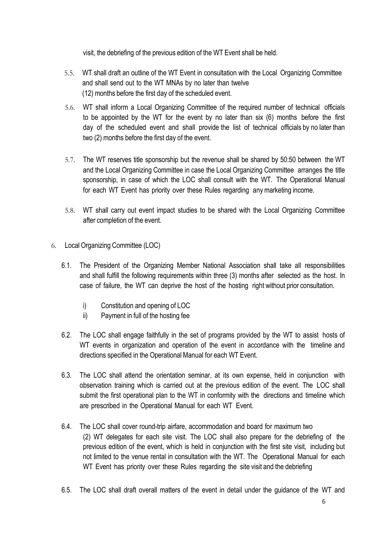visit, the debriefing of the previous edition of the WT Event shall be held.

- 5.5. WT shall draft an outline of the WT Event in consultation with the Local Organizing Committee and shall send out to the WT MNAs by no later than twelve (12) months before the first day of the scheduled event.
- 5.6. WT shall inform a Local Organizing Committee of the required number of technical officials to be appointed by the WT for the event by no later than six (6) months before the first day of the scheduled event and shall provide the list of technical officials by no later than two (2) months before the first day of the event.
- 5.7. The WT reserves title sponsorship but the revenue shall be shared by 50:50 between the WT and the Local Organizing Committee in case the Local Organizing Committee arranges the title sponsorship, in case of which the LOC shall consult with the WT. The Operational Manual for each WT Event has priority over these Rules regarding anymarketing income.
- 5.8. WT shall carry out event impact studies to be shared with the Local Organizing Committee after completion of the event.
- 6. Local Organizing Committee (LOC)
	- 6.1. The President of the Organizing Member National Association shall take all responsibilities and shall fulfill the following requirements within three (3) months after selected as the host. In case of failure, the WT can deprive the host of the hosting right without prior consultation.
		- i) Constitution and opening of LOC
		- ii) Payment in full of the hosting fee
	- 6.2. The LOC shall engage faithfully in the set of programs provided by the WT to assist hosts of WT events in organization and operation of the event in accordance with the timeline and directions specified in the Operational Manual for each WT Event.
	- 6.3. The LOC shall attend the orientation seminar, at its own expense, held in conjunction with observation training which is carried out at the previous edition of the event. The LOC shall submit the first operational plan to the WT in conformity with the directions and timeline which are prescribed in the Operational Manual for each WT Event.
	- 6.4. The LOC shall cover round-trip airfare, accommodation and board for maximum two (2) WT delegates for each site visit. The LOC shall also prepare for the debriefing of the previous edition of the event, which is held in conjunction with the first site visit, including but not limited to the venue rental in consultation with the WT. The Operational Manual for each WT Event has priority over these Rules regarding the site visit and the debriefing
	- 6.5. The LOC shall draft overall matters of the event in detail under the guidance of the WT and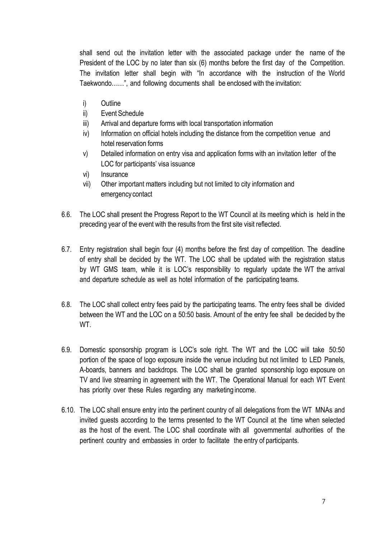shall send out the invitation letter with the associated package under the name of the President of the LOC by no later than six (6) months before the first day of the Competition. The invitation letter shall begin with "In accordance with the instruction of the World Taekwondo……", and following documents shall be enclosed with the invitation:

- i) Outline
- ii) Event Schedule
- iii) Arrival and departure forms with local transportation information
- iv) Information on official hotels including the distance from the competition venue and hotel reservation forms
- v) Detailed information on entry visa and application forms with an invitation letter of the LOC for participants' visa issuance
- vi) Insurance
- vii) Other important matters including but not limited to city information and emergencycontact
- 6.6. The LOC shall present the Progress Report to the WT Council at its meeting which is held in the preceding year of the event with the results from the first site visit reflected.
- 6.7. Entry registration shall begin four (4) months before the first day of competition. The deadline of entry shall be decided by the WT. The LOC shall be updated with the registration status by WT GMS team, while it is LOC's responsibility to regularly update the WT the arrival and departure schedule as well as hotel information of the participating teams.
- 6.8. The LOC shall collect entry fees paid by the participating teams. The entry fees shall be divided between the WT and the LOC on a 50:50 basis. Amount of the entry fee shall be decided by the WT.
- 6.9. Domestic sponsorship program is LOC's sole right. The WT and the LOC will take 50:50 portion of the space of logo exposure inside the venue including but not limited to LED Panels, A-boards, banners and backdrops. The LOC shall be granted sponsorship logo exposure on TV and live streaming in agreement with the WT. The Operational Manual for each WT Event has priority over these Rules regarding any marketing income.
- 6.10. The LOC shall ensure entry into the pertinent country of all delegations from the WT MNAs and invited guests according to the terms presented to the WT Council at the time when selected as the host of the event. The LOC shall coordinate with all governmental authorities of the pertinent country and embassies in order to facilitate the entry of participants.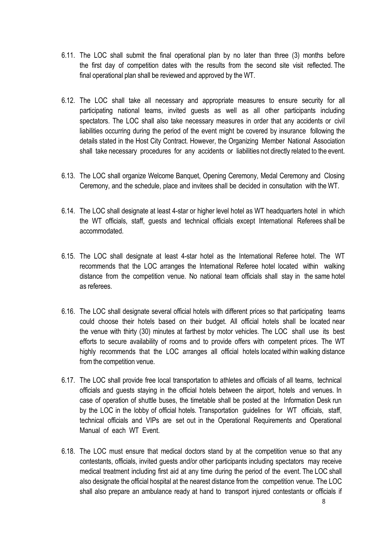- 6.11. The LOC shall submit the final operational plan by no later than three (3) months before the first day of competition dates with the results from the second site visit reflected. The final operational plan shall be reviewed and approved by the WT.
- 6.12. The LOC shall take all necessary and appropriate measures to ensure security for all participating national teams, invited guests as well as all other participants including spectators. The LOC shall also take necessary measures in order that any accidents or civil liabilities occurring during the period of the event might be covered by insurance following the details stated in the Host City Contract. However, the Organizing Member National Association shall take necessary procedures for any accidents or liabilities not directly related to the event.
- 6.13. The LOC shall organize Welcome Banquet, Opening Ceremony, Medal Ceremony and Closing Ceremony, and the schedule, place and invitees shall be decided in consultation with the WT.
- 6.14. The LOC shall designate at least 4-star or higher level hotel as WT headquarters hotel in which the WT officials, staff, guests and technical officials except International Referees shall be accommodated.
- 6.15. The LOC shall designate at least 4-star hotel as the International Referee hotel. The WT recommends that the LOC arranges the International Referee hotel located within walking distance from the competition venue. No national team officials shall stay in the same hotel as referees.
- 6.16. The LOC shall designate several official hotels with different prices so that participating teams could choose their hotels based on their budget. All official hotels shall be located near the venue with thirty (30) minutes at farthest by motor vehicles. The LOC shall use its best efforts to secure availability of rooms and to provide offers with competent prices. The WT highly recommends that the LOC arranges all official hotels located within walking distance from the competition venue.
- 6.17. The LOC shall provide free local transportation to athletes and officials of all teams, technical officials and guests staying in the official hotels between the airport, hotels and venues. In case of operation of shuttle buses, the timetable shall be posted at the Information Desk run by the LOC in the lobby of official hotels. Transportation guidelines for WT officials, staff, technical officials and VIPs are set out in the Operational Requirements and Operational Manual of each WT Event.
- 6.18. The LOC must ensure that medical doctors stand by at the competition venue so that any contestants, officials, invited guests and/or other participants including spectators may receive medical treatment including first aid at any time during the period of the event. The LOC shall also designate the official hospital at the nearest distance from the competition venue. The LOC shall also prepare an ambulance ready at hand to transport injured contestants or officials if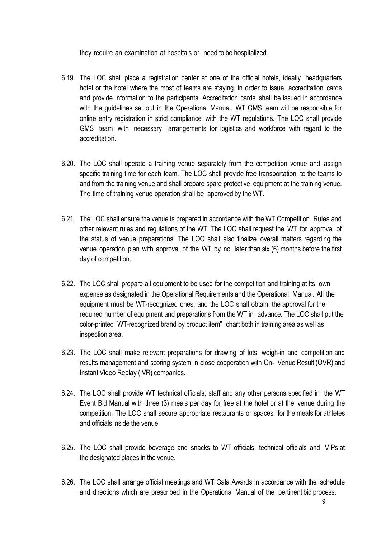they require an examination at hospitals or need to be hospitalized.

- 6.19. The LOC shall place a registration center at one of the official hotels, ideally headquarters hotel or the hotel where the most of teams are staying, in order to issue accreditation cards and provide information to the participants. Accreditation cards shall be issued in accordance with the guidelines set out in the Operational Manual. WT GMS team will be responsible for online entry registration in strict compliance with the WT regulations. The LOC shall provide GMS team with necessary arrangements for logistics and workforce with regard to the accreditation.
- 6.20. The LOC shall operate a training venue separately from the competition venue and assign specific training time for each team. The LOC shall provide free transportation to the teams to and from the training venue and shall prepare spare protective equipment at the training venue. The time of training venue operation shall be approved by the WT.
- 6.21. The LOC shall ensure the venue is prepared in accordance with the WT Competition Rules and other relevant rules and regulations of the WT. The LOC shall request the WT for approval of the status of venue preparations. The LOC shall also finalize overall matters regarding the venue operation plan with approval of the WT by no later than six (6) months before the first day of competition.
- 6.22. The LOC shall prepare all equipment to be used for the competition and training at its own expense as designated in the Operational Requirements and the Operational Manual. All the equipment must be WT-recognized ones, and the LOC shall obtain the approval for the required number of equipment and preparations from the WT in advance. The LOC shall put the color-printed "WT-recognized brand by product item" chart both in training area as well as inspection area.
- 6.23. The LOC shall make relevant preparations for drawing of lots, weigh-in and competition and results management and scoring system in close cooperation with On- Venue Result (OVR) and Instant Video Replay (IVR) companies.
- 6.24. The LOC shall provide WT technical officials, staff and any other persons specified in the WT Event Bid Manual with three (3) meals per day for free at the hotel or at the venue during the competition. The LOC shall secure appropriate restaurants or spaces for the meals for athletes and officials inside the venue.
- 6.25. The LOC shall provide beverage and snacks to WT officials, technical officials and VIPs at the designated places in the venue.
- 6.26. The LOC shall arrange official meetings and WT Gala Awards in accordance with the schedule and directions which are prescribed in the Operational Manual of the pertinent bid process.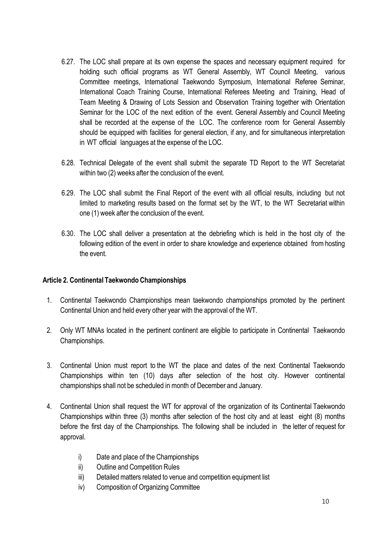- 6.27. The LOC shall prepare at its own expense the spaces and necessary equipment required for holding such official programs as WT General Assembly, WT Council Meeting, various Committee meetings, International Taekwondo Symposium, International Referee Seminar, International Coach Training Course, International Referees Meeting and Training, Head of Team Meeting & Drawing of Lots Session and Observation Training together with Orientation Seminar for the LOC of the next edition of the event. General Assembly and Council Meeting shall be recorded at the expense of the LOC. The conference room for General Assembly should be equipped with facilities for general election, if any, and for simultaneous interpretation in WT official languages at the expense of the LOC.
- 6.28. Technical Delegate of the event shall submit the separate TD Report to the WT Secretariat within two (2) weeks after the conclusion of the event.
- 6.29. The LOC shall submit the Final Report of the event with all official results, including but not limited to marketing results based on the format set by the WT, to the WT Secretariat within one (1) week after the conclusion of the event.
- 6.30. The LOC shall deliver a presentation at the debriefing which is held in the host city of the following edition of the event in order to share knowledge and experience obtained from hosting the event.

### **Article 2. Continental Taekwondo Championships**

- 1. Continental Taekwondo Championships mean taekwondo championships promoted by the pertinent Continental Union and held every other year with the approval of the WT.
- 2. Only WT MNAs located in the pertinent continent are eligible to participate in Continental Taekwondo Championships.
- 3. Continental Union must report to the WT the place and dates of the next Continental Taekwondo Championships within ten (10) days after selection of the host city. However continental championships shall not be scheduled in month of December and January.
- 4. Continental Union shall request the WT for approval of the organization of its Continental Taekwondo Championships within three (3) months after selection of the host city and at least eight (8) months before the first day of the Championships. The following shall be included in the letter of request for approval.
	- i) Date and place of the Championships
	- ii) Outline and Competition Rules
	- iii) Detailed matters related to venue and competition equipment list
	- iv) Composition of Organizing Committee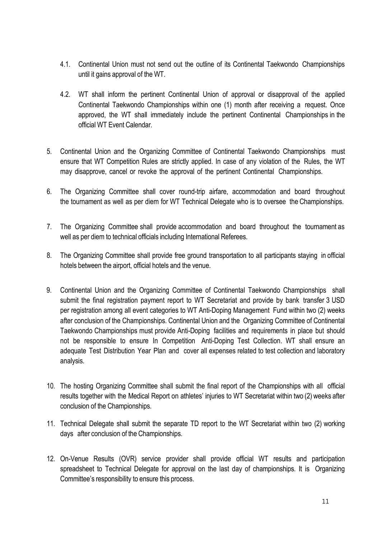- 4.1. Continental Union must not send out the outline of its Continental Taekwondo Championships until it gains approval of the WT.
- 4.2. WT shall inform the pertinent Continental Union of approval or disapproval of the applied Continental Taekwondo Championships within one (1) month after receiving a request. Once approved, the WT shall immediately include the pertinent Continental Championships in the official WT Event Calendar.
- 5. Continental Union and the Organizing Committee of Continental Taekwondo Championships must ensure that WT Competition Rules are strictly applied. In case of any violation of the Rules, the WT may disapprove, cancel or revoke the approval of the pertinent Continental Championships.
- 6. The Organizing Committee shall cover round-trip airfare, accommodation and board throughout the tournament as well as per diem for WT Technical Delegate who is to oversee the Championships.
- 7. The Organizing Committee shall provide accommodation and board throughout the tournament as well as per diem to technical officials including International Referees.
- 8. The Organizing Committee shall provide free ground transportation to all participants staying in official hotels between the airport, official hotels and the venue.
- 9. Continental Union and the Organizing Committee of Continental Taekwondo Championships shall submit the final registration payment report to WT Secretariat and provide by bank transfer 3 USD per registration among all event categories to WT Anti-Doping Management Fund within two (2) weeks after conclusion of the Championships. Continental Union and the Organizing Committee of Continental Taekwondo Championships must provide Anti-Doping facilities and requirements in place but should not be responsible to ensure In Competition Anti-Doping Test Collection. WT shall ensure an adequate Test Distribution Year Plan and cover all expenses related to test collection and laboratory analysis.
- 10. The hosting Organizing Committee shall submit the final report of the Championships with all official results together with the Medical Report on athletes' injuries to WT Secretariat within two (2) weeks after conclusion of the Championships.
- 11. Technical Delegate shall submit the separate TD report to the WT Secretariat within two (2) working days after conclusion of the Championships.
- 12. On-Venue Results (OVR) service provider shall provide official WT results and participation spreadsheet to Technical Delegate for approval on the last day of championships. It is Organizing Committee's responsibility to ensure this process.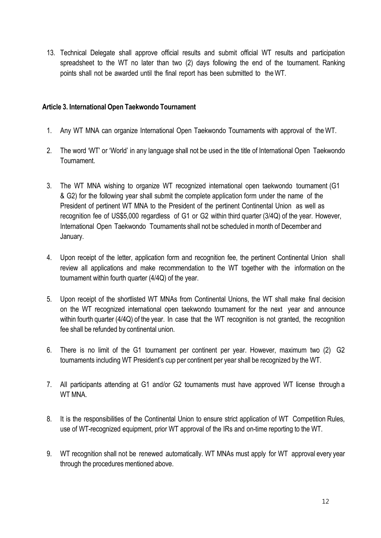13. Technical Delegate shall approve official results and submit official WT results and participation spreadsheet to the WT no later than two (2) days following the end of the tournament. Ranking points shall not be awarded until the final report has been submitted to the WT.

#### **Article 3. International Open Taekwondo Tournament**

- 1. Any WT MNA can organize International Open Taekwondo Tournaments with approval of the WT.
- 2. The word 'WT' or 'World' in any language shall not be used in the title of International Open Taekwondo Tournament.
- 3. The WT MNA wishing to organize WT recognized international open taekwondo tournament (G1 & G2) for the following year shall submit the complete application form under the name of the President of pertinent WT MNA to the President of the pertinent Continental Union as well as recognition fee of US\$5,000 regardless of G1 or G2 within third quarter (3/4Q) of the year. However, International Open Taekwondo Tournaments shall not be scheduled in month of December and January.
- 4. Upon receipt of the letter, application form and recognition fee, the pertinent Continental Union shall review all applications and make recommendation to the WT together with the information on the tournament within fourth quarter (4/4Q) of the year.
- 5. Upon receipt of the shortlisted WT MNAs from Continental Unions, the WT shall make final decision on the WT recognized international open taekwondo tournament for the next year and announce within fourth quarter (4/4Q) of the year. In case that the WT recognition is not granted, the recognition fee shall be refunded by continental union.
- 6. There is no limit of the G1 tournament per continent per year. However, maximum two (2) G2 tournaments including WT President's cup per continent per year shall be recognized by the WT.
- 7. All participants attending at G1 and/or G2 tournaments must have approved WT license through a WT MNA.
- 8. It is the responsibilities of the Continental Union to ensure strict application of WT Competition Rules, use of WT-recognized equipment, prior WT approval of the IRs and on-time reporting to the WT.
- 9. WT recognition shall not be renewed automatically. WT MNAs must apply for WT approval every year through the procedures mentioned above.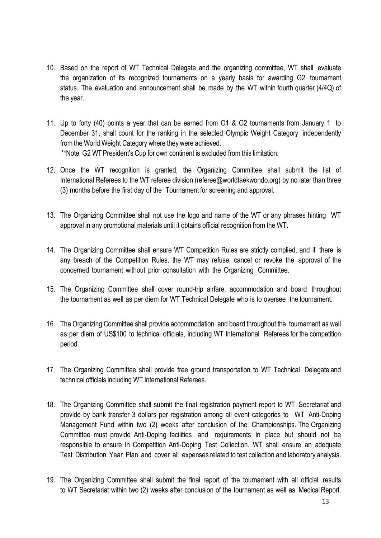- 10. Based on the report of WT Technical Delegate and the organizing committee, WT shall evaluate the organization of its recognized tournaments on a yearly basis for awarding G2 tournament status. The evaluation and announcement shall be made by the WT within fourth quarter (4/4Q) of the year.
- 11. Up to forty (40) points a year that can be earned from G1 & G2 tournaments from January 1 to December 31, shall count for the ranking in the selected Olympic Weight Category independently from the World Weight Category where they were achieved. \*\*Note: G2 WT President's Cup for own continent is excluded from this limitation.
- 12. Once the WT recognition is granted, the Organizing Committee shall submit the list of International Referees to the WT referee division (referee@worldtaekwondo.org) by no later than three (3) months before the first day of the Tournament for screening and approval.
- 13. The Organizing Committee shall not use the logo and name of the WT or any phrases hinting WT approval in any promotional materials until it obtains official recognition from the WT.
- 14. The Organizing Committee shall ensure WT Competition Rules are strictly complied, and if there is any breach of the Competition Rules, the WT may refuse, cancel or revoke the approval of the concerned tournament without prior consultation with the Organizing Committee.
- 15. The Organizing Committee shall cover round-trip airfare, accommodation and board throughout the tournament as well as per diem for WT Technical Delegate who is to oversee the tournament.
- 16. The Organizing Committee shall provide accommodation and board throughout the tournament as well as per diem of US\$100 to technical officials, including WT International Referees for the competition period.
- 17. The Organizing Committee shall provide free ground transportation to WT Technical Delegate and technical officials including WT International Referees.
- 18. The Organizing Committee shall submit the final registration payment report to WT Secretariat and provide by bank transfer 3 dollars per registration among all event categories to WT Anti-Doping Management Fund within two (2) weeks after conclusion of the Championships. The Organizing Committee must provide Anti-Doping facilities and requirements in place but should not be responsible to ensure In Competition Anti-Doping Test Collection. WT shall ensure an adequate Test Distribution Year Plan and cover all expenses related to test collection and laboratory analysis.
- 19. The Organizing Committee shall submit the final report of the tournament with all official results to WT Secretariat within two (2) weeks after conclusion of the tournament as well as Medical Report.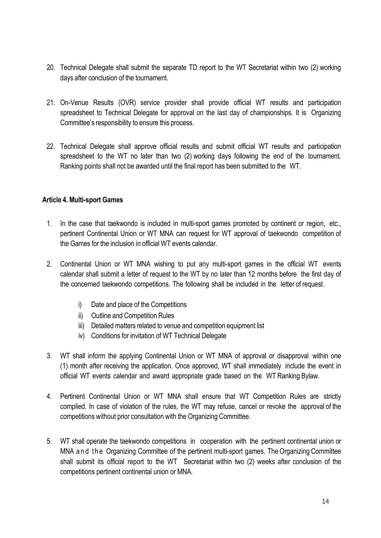- 20. Technical Delegate shall submit the separate TD report to the WT Secretariat within two (2) working days after conclusion of the tournament.
- 21. On-Venue Results (OVR) service provider shall provide official WT results and participation spreadsheet to Technical Delegate for approval on the last day of championships. It is Organizing Committee's responsibility to ensure this process.
- 22. Technical Delegate shall approve official results and submit official WT results and participation spreadsheet to the WT no later than two (2) working days following the end of the tournament. Ranking points shall not be awarded until the final report has been submitted to the WT.

#### **Article 4. Multi-sport Games**

- 1. In the case that taekwondo is included in multi-sport games promoted by continent or region, etc., pertinent Continental Union or WT MNA can request for WT approval of taekwondo competition of the Games for the inclusion in official WT events calendar.
- 2. Continental Union or WT MNA wishing to put any multi-sport games in the official WT events calendar shall submit a letter of request to the WT by no later than 12 months before the first day of the concerned taekwondo competitions. The following shall be included in the letter of request.
	- i) Date and place of the Competitions
	- ii) Outline and Competition Rules
	- iii) Detailed matters related to venue and competition equipment list
	- iv) Conditions for invitation of WT Technical Delegate
- 3. WT shall inform the applying Continental Union or WT MNA of approval or disapproval within one (1) month after receiving the application. Once approved, WT shall immediately include the event in official WT events calendar and award appropriate grade based on the WT Ranking Bylaw.
- 4. Pertinent Continental Union or WT MNA shall ensure that WT Competition Rules are strictly complied. In case of violation of the rules, the WT may refuse, cancel or revoke the approval of the competitions without prior consultation with the Organizing Committee.
- 5. WT shall operate the taekwondo competitions in cooperation with the pertinent continental union or MNA a n d the Organizing Committee of the pertinent multi-sport games. The Organizing Committee shall submit its official report to the WT Secretariat within two (2) weeks after conclusion of the competitions pertinent continental union or MNA.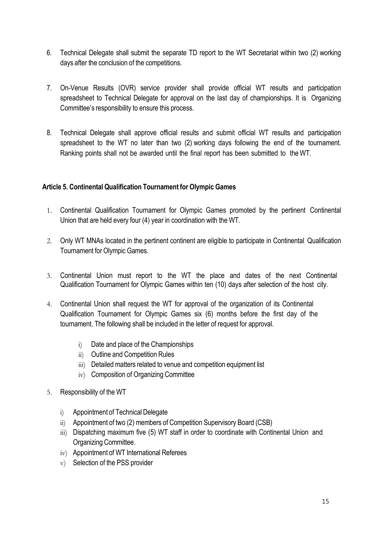- 6. Technical Delegate shall submit the separate TD report to the WT Secretariat within two (2) working days after the conclusion of the competitions.
- 7. On-Venue Results (OVR) service provider shall provide official WT results and participation spreadsheet to Technical Delegate for approval on the last day of championships. It is Organizing Committee's responsibility to ensure this process.
- 8. Technical Delegate shall approve official results and submit official WT results and participation spreadsheet to the WT no later than two (2) working days following the end of the tournament. Ranking points shall not be awarded until the final report has been submitted to the WT.

### **Article 5. Continental Qualification Tournament for Olympic Games**

- 1. Continental Qualification Tournament for Olympic Games promoted by the pertinent Continental Union that are held every four (4) year in coordination with the WT.
- 2. Only WT MNAs located in the pertinent continent are eligible to participate in Continental Qualification Tournament for Olympic Games.
- 3. Continental Union must report to the WT the place and dates of the next Continental Qualification Tournament for Olympic Games within ten (10) days after selection of the host city.
- 4. Continental Union shall request the WT for approval of the organization of its Continental Qualification Tournament for Olympic Games six (6) months before the first day of the tournament. The following shall be included in the letter of request for approval.
	- i) Date and place of the Championships
	- ii) Outline and Competition Rules
	- iii) Detailed matters related to venue and competition equipment list
	- iv) Composition of Organizing Committee
- 5. Responsibility of the WT
	- i) Appointment of Technical Delegate
	- ii) Appointment of two (2) members of Competition Supervisory Board (CSB)
	- iii) Dispatching maximum five (5) WT staff in order to coordinate with Continental Union and Organizing Committee.
	- iv) Appointment of WT International Referees
	- v) Selection of the PSS provider